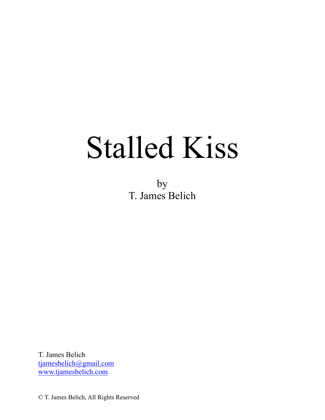# Stalled Kiss

by T. James Belich

T. James Belich tjamesbelich@gmail.com www.tjamesbelich.com

© T. James Belich, All Rights Reserved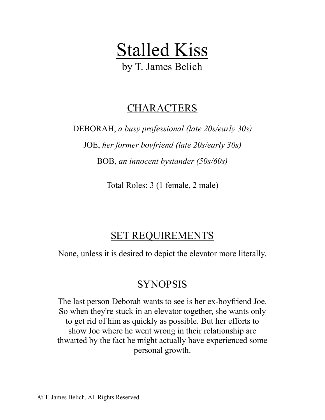Stalled Kiss

by T. James Belich

# CHARACTERS

DEBORAH, *a busy professional (late 20s/early 30s)* JOE, *her former boyfriend (late 20s/early 30s)* BOB, *an innocent bystander (50s/60s)*

Total Roles: 3 (1 female, 2 male)

# SET REQUIREMENTS

None, unless it is desired to depict the elevator more literally.

# SYNOPSIS

The last person Deborah wants to see is her ex-boyfriend Joe. So when they're stuck in an elevator together, she wants only to get rid of him as quickly as possible. But her efforts to show Joe where he went wrong in their relationship are thwarted by the fact he might actually have experienced some personal growth.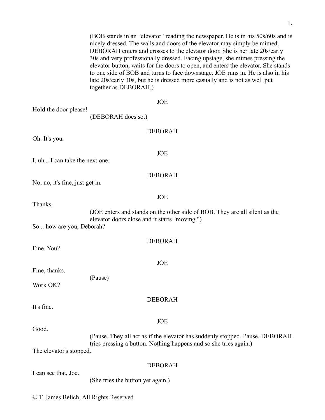(BOB stands in an "elevator" reading the newspaper. He is in his 50s/60s and is nicely dressed. The walls and doors of the elevator may simply be mimed. DEBORAH enters and crosses to the elevator door. She is her late 20s/early 30s and very professionally dressed. Facing upstage, she mimes pressing the elevator button, waits for the doors to open, and enters the elevator. She stands to one side of BOB and turns to face downstage. JOE runs in. He is also in his late 20s/early 30s, but he is dressed more casually and is not as well put together as DEBORAH.)

#### JOE

Hold the door please!

(DEBORAH does so.)

#### DEBORAH

JOE

Oh. It's you.

I, uh... I can take the next one.

#### DEBORAH

No, no, it's fine, just get in.

JOE

DEBORAH

JOE

DEBORAH

JOE

Thanks.

(JOE enters and stands on the other side of BOB. They are all silent as the elevator doors close and it starts "moving.")

So... how are you, Deborah?

Fine. You?

Fine, thanks.

(Pause)

Work OK?

It's fine.

Good.

(Pause. They all act as if the elevator has suddenly stopped. Pause. DEBORAH tries pressing a button. Nothing happens and so she tries again.)

The elevator's stopped.

#### DEBORAH

I can see that, Joe.

(She tries the button yet again.)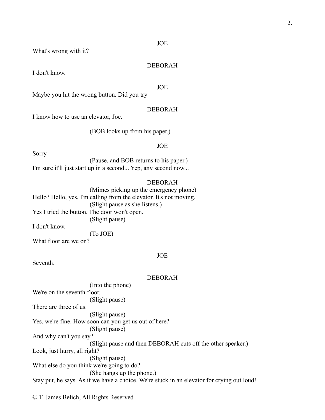What's wrong with it?

#### DEBORAH

I don't know.

JOE

Maybe you hit the wrong button. Did you try—

#### DEBORAH

I know how to use an elevator, Joe.

(BOB looks up from his paper.)

#### JOE

Sorry.

(Pause, and BOB returns to his paper.) I'm sure it'll just start up in a second... Yep, any second now...

#### DEBORAH

(Mimes picking up the emergency phone) Hello? Hello, yes, I'm calling from the elevator. It's not moving. (Slight pause as she listens.) Yes I tried the button. The door won't open. (Slight pause) I don't know. (To JOE) What floor are we on?

JOE

Seventh.

#### DEBORAH

(Into the phone) We're on the seventh floor. (Slight pause) There are three of us. (Slight pause) Yes, we're fine. How soon can you get us out of here? (Slight pause) And why can't you say? (Slight pause and then DEBORAH cuts off the other speaker.) Look, just hurry, all right? (Slight pause) What else do you think we're going to do? (She hangs up the phone.) Stay put, he says. As if we have a choice. We're stuck in an elevator for crying out loud!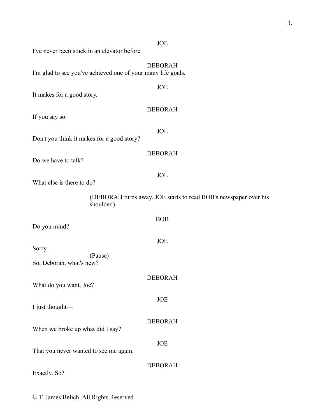| I've never been stuck in an elevator before.                 |                                                                  |
|--------------------------------------------------------------|------------------------------------------------------------------|
| I'm glad to see you've achieved one of your many life goals. | <b>DEBORAH</b>                                                   |
| It makes for a good story.                                   | JOE                                                              |
| If you say so.                                               | <b>DEBORAH</b>                                                   |
| Don't you think it makes for a good story?                   | JOE                                                              |
| Do we have to talk?                                          | <b>DEBORAH</b>                                                   |
| What else is there to do?                                    | <b>JOE</b>                                                       |
| shoulder.)                                                   | (DEBORAH turns away. JOE starts to read BOB's newspaper over his |
| Do you mind?                                                 | <b>BOB</b>                                                       |
| Sorry.                                                       | <b>JOE</b>                                                       |
| (Pause)<br>So, Deborah, what's new?                          |                                                                  |
| What do you want, Joe?                                       | <b>DEBORAH</b>                                                   |
| I just thought-                                              | JOE                                                              |
| When we broke up what did I say?                             | <b>DEBORAH</b>                                                   |
| That you never wanted to see me again.                       | <b>JOE</b>                                                       |
|                                                              | <b>DEBORAH</b>                                                   |

Exactly. So?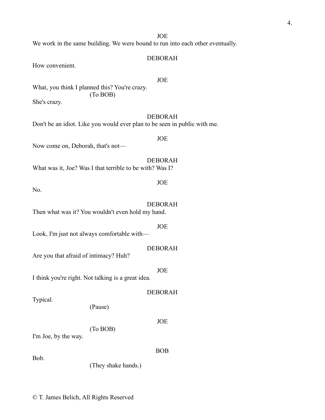We work in the same building. We were bound to run into each other eventually.

#### DEBORAH

How convenient.

#### JOE

What, you think I planned this? You're crazy. (To BOB) She's crazy.

DEBORAH Don't be an idiot. Like you would ever plan to be seen in public with me.

Now come on, Deborah, that's not—

DEBORAH What was it, Joe? Was I that terrible to be with? Was I?

No.

DEBORAH Then what was it? You wouldn't even hold my hand.

JOE Look, I'm just not always comfortable with—

Are you that afraid of intimacy? Huh?

I think you're right. Not talking is a great idea.

Typical.

(Pause)

JOE

BOB

(To BOB)

I'm Joe, by the way.

Bob.

(They shake hands.)

## JOE

JOE

DEBORAH

JOE

DEBORAH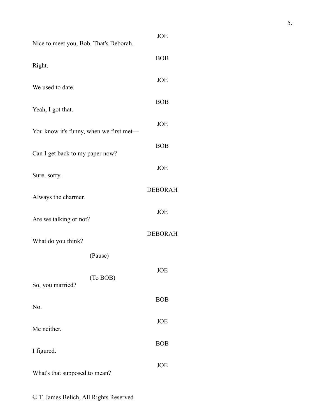| Nice to meet you, Bob. That's Deborah.  | <b>JOE</b>     |
|-----------------------------------------|----------------|
| Right.                                  | <b>BOB</b>     |
| We used to date.                        | JOE            |
|                                         | <b>BOB</b>     |
| Yeah, I got that.                       | JOE            |
| You know it's funny, when we first met— | <b>BOB</b>     |
| Can I get back to my paper now?         | <b>JOE</b>     |
| Sure, sorry.                            | <b>DEBORAH</b> |
| Always the charmer.                     | <b>JOE</b>     |
| Are we talking or not?                  |                |
| What do you think?                      | <b>DEBORAH</b> |
| (Pause)                                 |                |
| (To BOB)<br>So, you married?            | JOE            |
| No.                                     | <b>BOB</b>     |
| Me neither.                             | JOE            |
| I figured.                              | <b>BOB</b>     |
| What's that supposed to mean?           | JOE            |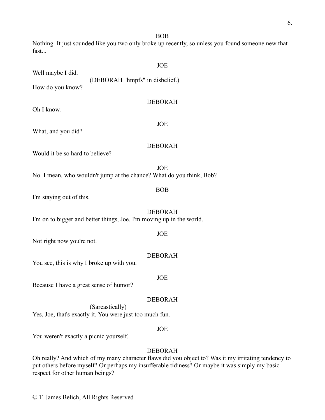6.

BOB

Nothing. It just sounded like you two only broke up recently, so unless you found someone new that fast...

|                                                                                        | <b>JOE</b>                        |  |  |  |
|----------------------------------------------------------------------------------------|-----------------------------------|--|--|--|
| Well maybe I did.                                                                      | (DEBORAH "hmpfs" in disbelief.)   |  |  |  |
| How do you know?                                                                       |                                   |  |  |  |
|                                                                                        | <b>DEBORAH</b>                    |  |  |  |
| Oh I know.                                                                             |                                   |  |  |  |
| What, and you did?                                                                     | <b>JOE</b>                        |  |  |  |
|                                                                                        | <b>DEBORAH</b>                    |  |  |  |
| Would it be so hard to believe?                                                        |                                   |  |  |  |
| <b>JOE</b><br>No. I mean, who wouldn't jump at the chance? What do you think, Bob?     |                                   |  |  |  |
|                                                                                        | <b>BOB</b>                        |  |  |  |
| I'm staying out of this.                                                               |                                   |  |  |  |
| <b>DEBORAH</b><br>I'm on to bigger and better things, Joe. I'm moving up in the world. |                                   |  |  |  |
|                                                                                        | <b>JOE</b>                        |  |  |  |
| Not right now you're not.                                                              |                                   |  |  |  |
| You see, this is why I broke up with you.                                              | <b>DEBORAH</b>                    |  |  |  |
| Because I have a great sense of humor?                                                 | <b>JOE</b>                        |  |  |  |
|                                                                                        | <b>DEBORAH</b><br>(Sarcastically) |  |  |  |
| Yes, Joe, that's exactly it. You were just too much fun.                               |                                   |  |  |  |

## JOE

You weren't exactly a picnic yourself.

## DEBORAH

Oh really? And which of my many character flaws did you object to? Was it my irritating tendency to put others before myself? Or perhaps my insufferable tidiness? Or maybe it was simply my basic respect for other human beings?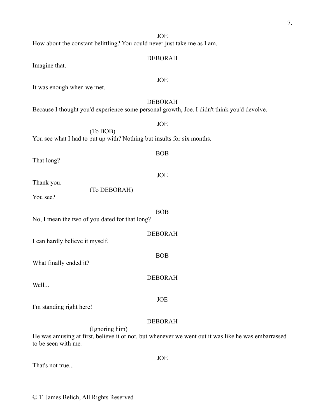How about the constant belittling? You could never just take me as I am.

#### DEBORAH

Imagine that.

It was enough when we met.

#### DEBORAH

BOB

JOE

BOB

JOE

Because I thought you'd experience some personal growth, Joe. I didn't think you'd devolve.

JOE (To BOB) You see what I had to put up with? Nothing but insults for six months.

That long?

Thank you.

(To DEBORAH)

You see?

No, I mean the two of you dated for that long?

DEBORAH I can hardly believe it myself. BOB What finally ended it? DEBORAH Well...

I'm standing right here!

#### DEBORAH

JOE

(Ignoring him)

He was amusing at first, believe it or not, but whenever we went out it was like he was embarrassed to be seen with me.

| That's not true |  |  |
|-----------------|--|--|
|-----------------|--|--|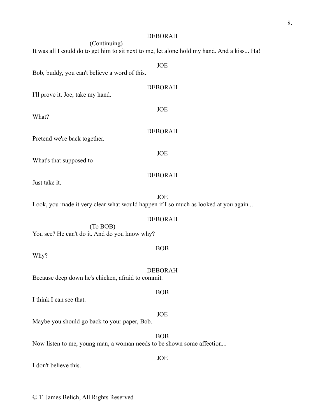#### DEBORAH

(Continuing) It was all I could do to get him to sit next to me, let alone hold my hand. And a kiss... Ha!

JOE

Bob, buddy, you can't believe a word of this.

| I'll prove it. Joe, take my hand.                                                                                                                                                                                                                                                                                                                                                                                       | <b>DEBORAH</b> |
|-------------------------------------------------------------------------------------------------------------------------------------------------------------------------------------------------------------------------------------------------------------------------------------------------------------------------------------------------------------------------------------------------------------------------|----------------|
| What?                                                                                                                                                                                                                                                                                                                                                                                                                   | <b>JOE</b>     |
| Pretend we're back together.                                                                                                                                                                                                                                                                                                                                                                                            | <b>DEBORAH</b> |
| $\mathbf{X} \mathbf{Y} \mathbf{Y} \mathbf{I} = \mathbf{I} \mathbf{I} \mathbf{I} \mathbf{I} \mathbf{I} \mathbf{I} \mathbf{I} \mathbf{I} \mathbf{I} \mathbf{I} \mathbf{I} \mathbf{I} \mathbf{I} \mathbf{I} \mathbf{I} \mathbf{I} \mathbf{I} \mathbf{I} \mathbf{I} \mathbf{I} \mathbf{I} \mathbf{I} \mathbf{I} \mathbf{I} \mathbf{I} \mathbf{I} \mathbf{I} \mathbf{I} \mathbf{I} \mathbf{I} \mathbf{I} \mathbf{I} \mathbf$ | <b>JOE</b>     |

What's that supposed to—

Just take it.

JOE Look, you made it very clear what would happen if I so much as looked at you again...

#### DEBORAH

DEBORAH

(To BOB) You see? He can't do it. And do you know why?

Why?

DEBORAH Because deep down he's chicken, afraid to commit.

I think I can see that.

Maybe you should go back to your paper, Bob.

#### BOB Now listen to me, young man, a woman needs to be shown some affection...

I don't believe this.

© T. James Belich, All Rights Reserved

BOB

#### BOB

# JOE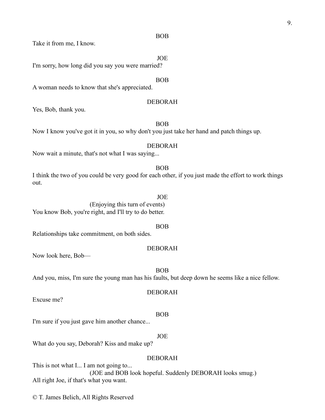#### BOB

Take it from me, I know.

#### JOE

I'm sorry, how long did you say you were married?

#### BOB

A woman needs to know that she's appreciated.

#### DEBORAH

Yes, Bob, thank you.

BOB

Now I know you've got it in you, so why don't you just take her hand and patch things up.

#### DEBORAH

Now wait a minute, that's not what I was saying...

#### BOB

I think the two of you could be very good for each other, if you just made the effort to work things out.

#### JOE

(Enjoying this turn of events) You know Bob, you're right, and I'll try to do better.

#### BOB

Relationships take commitment, on both sides.

#### DEBORAH

Now look here, Bob—

BOB And you, miss, I'm sure the young man has his faults, but deep down he seems like a nice fellow.

#### DEBORAH

Excuse me?

#### BOB

I'm sure if you just gave him another chance...

#### JOE

What do you say, Deborah? Kiss and make up?

#### DEBORAH

This is not what I... I am not going to... (JOE and BOB look hopeful. Suddenly DEBORAH looks smug.) All right Joe, if that's what you want.

© T. James Belich, All Rights Reserved